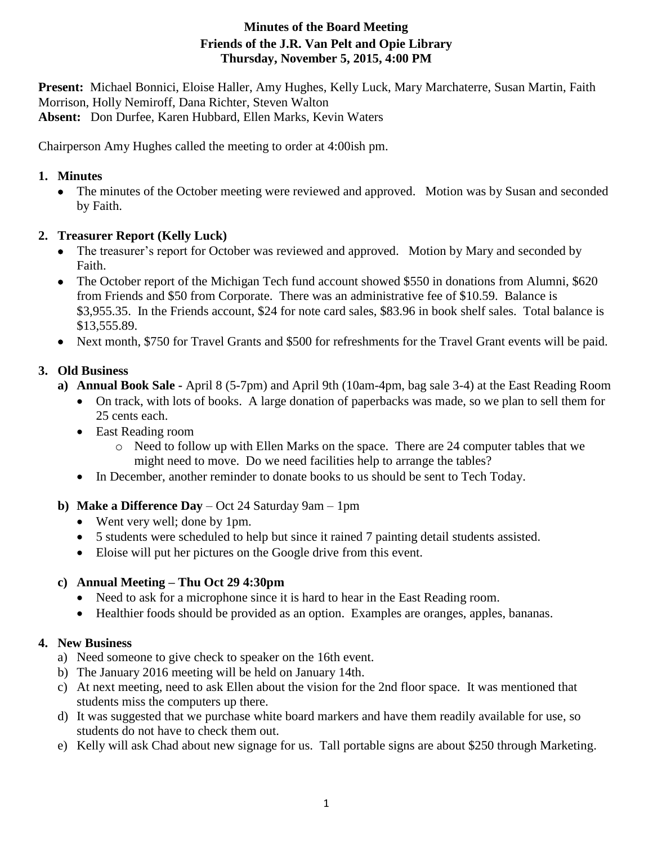# **Minutes of the Board Meeting Friends of the J.R. Van Pelt and Opie Library Thursday, November 5, 2015, 4:00 PM**

**Present:** Michael Bonnici, Eloise Haller, Amy Hughes, Kelly Luck, Mary Marchaterre, Susan Martin, Faith Morrison, Holly Nemiroff, Dana Richter, Steven Walton **Absent:** Don Durfee, Karen Hubbard, Ellen Marks, Kevin Waters

Chairperson Amy Hughes called the meeting to order at 4:00ish pm.

### **1. Minutes**

 The minutes of the October meeting were reviewed and approved. Motion was by Susan and seconded by Faith.

## **2. Treasurer Report (Kelly Luck)**

- The treasurer's report for October was reviewed and approved. Motion by Mary and seconded by Faith.
- The October report of the Michigan Tech fund account showed \$550 in donations from Alumni, \$620 from Friends and \$50 from Corporate. There was an administrative fee of \$10.59. Balance is \$3,955.35. In the Friends account, \$24 for note card sales, \$83.96 in book shelf sales. Total balance is \$13,555.89.
- Next month, \$750 for Travel Grants and \$500 for refreshments for the Travel Grant events will be paid.

## **3. Old Business**

- **a) Annual Book Sale -** April 8 (5-7pm) and April 9th (10am-4pm, bag sale 3-4) at the East Reading Room
	- On track, with lots of books. A large donation of paperbacks was made, so we plan to sell them for 25 cents each.
	- East Reading room
		- o Need to follow up with Ellen Marks on the space. There are 24 computer tables that we might need to move. Do we need facilities help to arrange the tables?
	- In December, another reminder to donate books to us should be sent to Tech Today.
- **b) Make a Difference Day** Oct 24 Saturday 9am 1pm
	- Went very well; done by 1pm.
	- 5 students were scheduled to help but since it rained 7 painting detail students assisted.
	- Eloise will put her pictures on the Google drive from this event.

### **c) Annual Meeting – Thu Oct 29 4:30pm**

- Need to ask for a microphone since it is hard to hear in the East Reading room.
- Healthier foods should be provided as an option. Examples are oranges, apples, bananas.

# **4. New Business**

- a) Need someone to give check to speaker on the 16th event.
- b) The January 2016 meeting will be held on January 14th.
- c) At next meeting, need to ask Ellen about the vision for the 2nd floor space. It was mentioned that students miss the computers up there.
- d) It was suggested that we purchase white board markers and have them readily available for use, so students do not have to check them out.
- e) Kelly will ask Chad about new signage for us. Tall portable signs are about \$250 through Marketing.